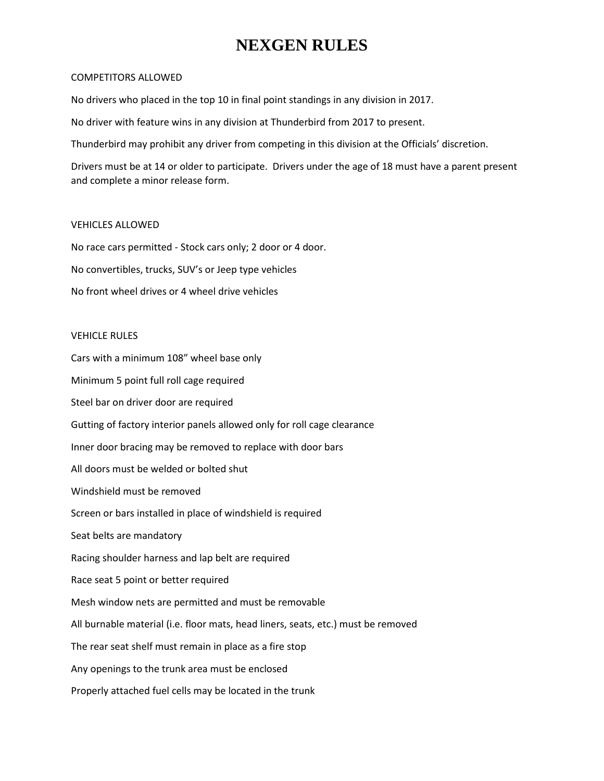## **NEXGEN RULES**

#### COMPETITORS ALLOWED

No drivers who placed in the top 10 in final point standings in any division in 2017.

No driver with feature wins in any division at Thunderbird from 2017 to present.

Thunderbird may prohibit any driver from competing in this division at the Officials' discretion.

Drivers must be at 14 or older to participate. Drivers under the age of 18 must have a parent present and complete a minor release form.

### VEHICLES ALLOWED

No race cars permitted - Stock cars only; 2 door or 4 door. No convertibles, trucks, SUV's or Jeep type vehicles No front wheel drives or 4 wheel drive vehicles

### VEHICLE RULES

Cars with a minimum 108" wheel base only Minimum 5 point full roll cage required Steel bar on driver door are required Gutting of factory interior panels allowed only for roll cage clearance Inner door bracing may be removed to replace with door bars All doors must be welded or bolted shut Windshield must be removed Screen or bars installed in place of windshield is required Seat belts are mandatory Racing shoulder harness and lap belt are required Race seat 5 point or better required Mesh window nets are permitted and must be removable All burnable material (i.e. floor mats, head liners, seats, etc.) must be removed The rear seat shelf must remain in place as a fire stop Any openings to the trunk area must be enclosed Properly attached fuel cells may be located in the trunk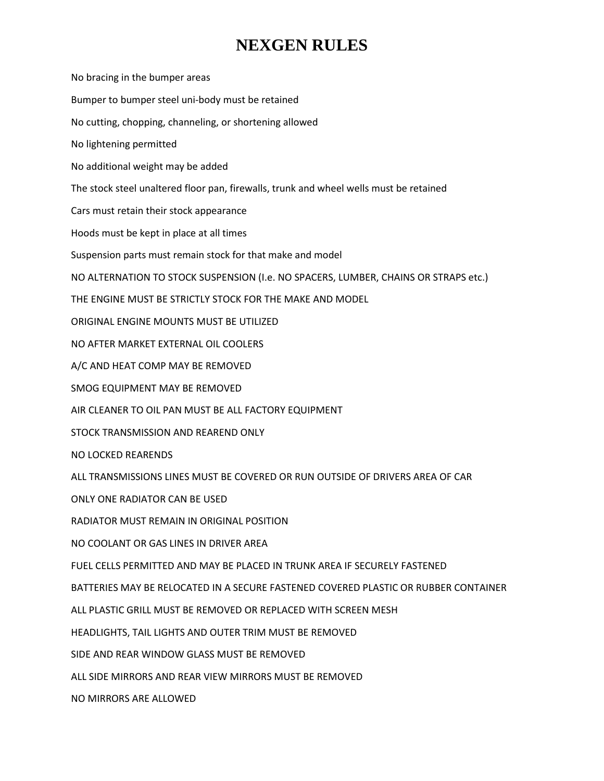## **NEXGEN RULES**

No bracing in the bumper areas Bumper to bumper steel uni-body must be retained No cutting, chopping, channeling, or shortening allowed No lightening permitted No additional weight may be added The stock steel unaltered floor pan, firewalls, trunk and wheel wells must be retained Cars must retain their stock appearance Hoods must be kept in place at all times Suspension parts must remain stock for that make and model NO ALTERNATION TO STOCK SUSPENSION (I.e. NO SPACERS, LUMBER, CHAINS OR STRAPS etc.) THE ENGINE MUST BE STRICTLY STOCK FOR THE MAKE AND MODEL ORIGINAL ENGINE MOUNTS MUST BE UTILIZED NO AFTER MARKET EXTERNAL OIL COOLERS A/C AND HEAT COMP MAY BE REMOVED SMOG EQUIPMENT MAY BE REMOVED AIR CLEANER TO OIL PAN MUST BE ALL FACTORY EQUIPMENT STOCK TRANSMISSION AND REAREND ONLY NO LOCKED REARENDS ALL TRANSMISSIONS LINES MUST BE COVERED OR RUN OUTSIDE OF DRIVERS AREA OF CAR ONLY ONE RADIATOR CAN BE USED RADIATOR MUST REMAIN IN ORIGINAL POSITION NO COOLANT OR GAS LINES IN DRIVER AREA FUEL CELLS PERMITTED AND MAY BE PLACED IN TRUNK AREA IF SECURELY FASTENED BATTERIES MAY BE RELOCATED IN A SECURE FASTENED COVERED PLASTIC OR RUBBER CONTAINER ALL PLASTIC GRILL MUST BE REMOVED OR REPLACED WITH SCREEN MESH HEADLIGHTS, TAIL LIGHTS AND OUTER TRIM MUST BE REMOVED SIDE AND REAR WINDOW GLASS MUST BE REMOVED ALL SIDE MIRRORS AND REAR VIEW MIRRORS MUST BE REMOVED NO MIRRORS ARE ALLOWED